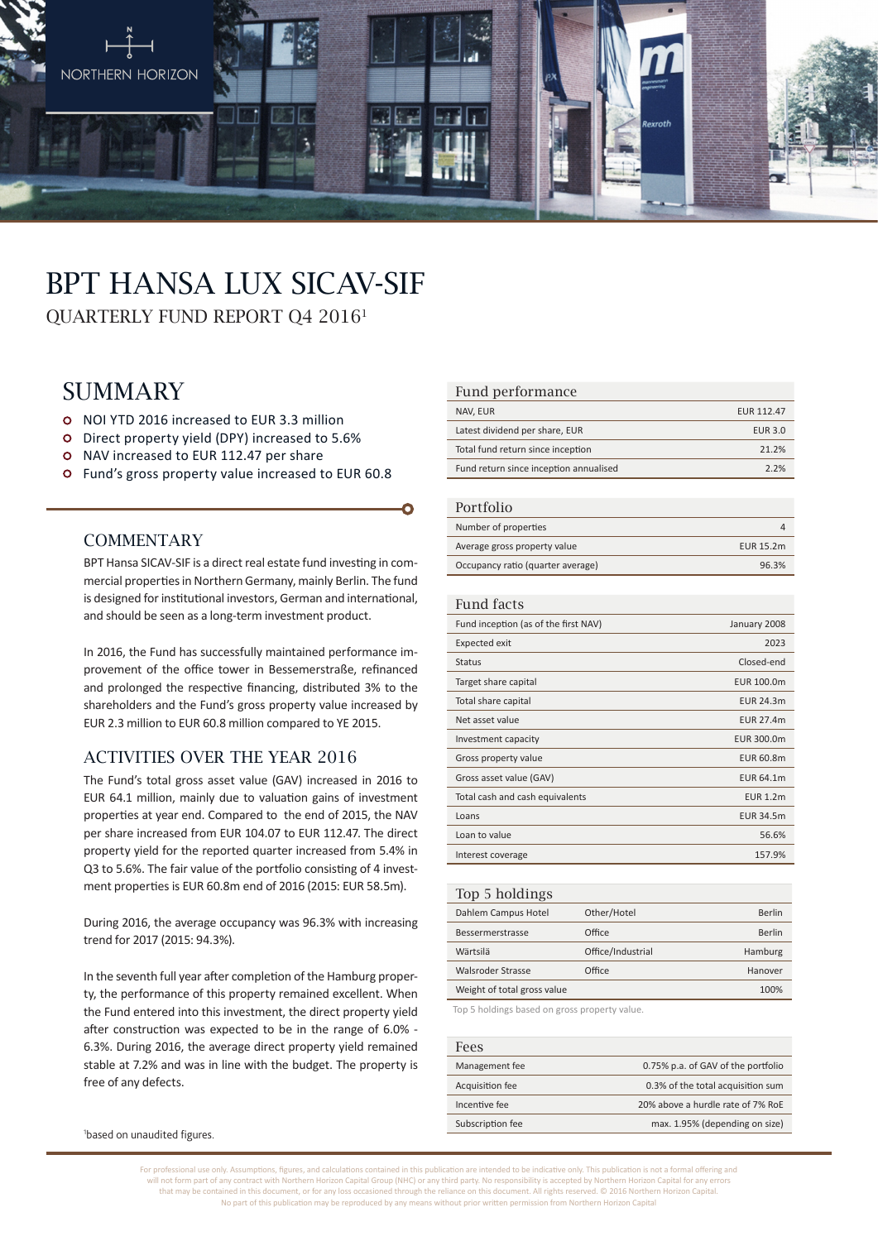

# BPT HANSA LUX SICAV-SIF

QUARTERLY FUND REPORT Q4 20161

## **SUMMARY**

- NOI YTD 2016 increased to EUR 3.3 million
- Direct property yield (DPY) increased to 5.6%
- o NAV increased to EUR 112.47 per share
- Fund's gross property value increased to EUR 60.8

#### **COMMENTARY**

BPT Hansa SICAV-SIF is a direct real estate fund investing in commercial properties in Northern Germany, mainly Berlin. The fund is designed for institutional investors, German and international, and should be seen as a long-term investment product.

In 2016, the Fund has successfully maintained performance improvement of the office tower in Bessemerstraße, refinanced and prolonged the respective financing, distributed 3% to the shareholders and the Fund's gross property value increased by EUR 2.3 million to EUR 60.8 million compared to YE 2015.

#### ACTIVITIES OVER THE YEAR 2016

The Fund's total gross asset value (GAV) increased in 2016 to EUR 64.1 million, mainly due to valuation gains of investment properties at year end. Compared to the end of 2015, the NAV per share increased from EUR 104.07 to EUR 112.47. The direct property yield for the reported quarter increased from 5.4% in Q3 to 5.6%. The fair value of the portfolio consisting of 4 investment properties is EUR 60.8m end of 2016 (2015: EUR 58.5m).

During 2016, the average occupancy was 96.3% with increasing trend for 2017 (2015: 94.3%).

In the seventh full year after completion of the Hamburg property, the performance of this property remained excellent. When the Fund entered into this investment, the direct property yield after construction was expected to be in the range of 6.0% - 6.3%. During 2016, the average direct property yield remained stable at 7.2% and was in line with the budget. The property is free of any defects.

#### Fund performance

| NAV, EUR                               | <b>EUR 112.47</b> |
|----------------------------------------|-------------------|
| Latest dividend per share, EUR         | <b>EUR 3.0</b>    |
| Total fund return since inception      | 21.2%             |
| Fund return since inception annualised | 2.2%              |

#### Portfolio

| $1 \cup 1 \cup 1 \cup 1$          |           |
|-----------------------------------|-----------|
| Number of properties              |           |
| Average gross property value      | EUR 15.2m |
| Occupancy ratio (quarter average) | 96.3%     |

#### Fund facts

| Fund inception (as of the first NAV) | January 2008     |
|--------------------------------------|------------------|
| <b>Expected exit</b>                 | 2023             |
| Status                               | Closed-end       |
| Target share capital                 | EUR 100.0m       |
| Total share capital                  | EUR 24.3m        |
| Net asset value                      | <b>EUR 27.4m</b> |
| Investment capacity                  | EUR 300.0m       |
| Gross property value                 | EUR 60.8m        |
| Gross asset value (GAV)              | EUR 64.1m        |
| Total cash and cash equivalents      | <b>EUR 1.2m</b>  |
| Loans                                | <b>EUR 34.5m</b> |
| Loan to value                        | 56.6%            |
| Interest coverage                    | 157.9%           |
|                                      |                  |

| Top 5 holdings              |                   |         |
|-----------------------------|-------------------|---------|
| Dahlem Campus Hotel         | Other/Hotel       | Berlin  |
| Bessermerstrasse            | Office            | Berlin  |
| Wärtsilä                    | Office/Industrial | Hamburg |
| Walsroder Strasse           | Office            | Hanover |
| Weight of total gross value |                   | 100%    |
|                             |                   |         |

Top 5 holdings based on gross property value.

| Fees             |                                    |
|------------------|------------------------------------|
| Management fee   | 0.75% p.a. of GAV of the portfolio |
| Acquisition fee  | 0.3% of the total acquisition sum  |
| Incentive fee    | 20% above a hurdle rate of 7% RoE  |
| Subscription fee | max. 1.95% (depending on size)     |

1 based on unaudited figures.

For professional use only. Assumptions, figures, and calculations contained in this publication are intended to be indicative only. This publication is not a formal offering and will not form part of any contract with Northern Horizon Capital Group (NHC) or any third party. No responsibility is accepted by Northern Horizon Capital for any errors that may be contained in this document, or for any loss occasioned through the reliance on this document. All rights reserved. © 2016 Northern Horizon Capital. No part of this publication may be reproduced by any means without prior written permission from Northern Horizon Capital